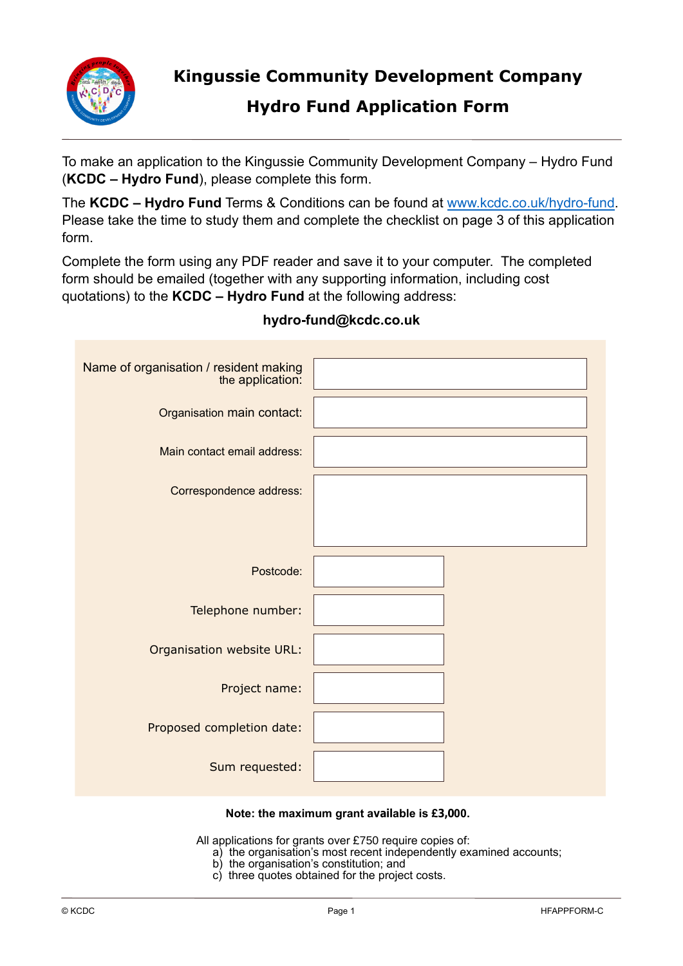

**Kingussie Community Development Company**

## **Hydro Fund Application Form**

To make an application to the Kingussie Community Development Company – Hydro Fund (**KCDC – Hydro Fund**), please complete this form.

The **KCDC – Hydro Fund** Terms & Conditions can be found at www.kcdc.co.uk/hydro-fund. Please take the time to study them and complete the checklist on page 3 of this application form.

Complete the form using any PDF reader and save it to your computer. The completed form should be emailed (together with any supporting information, including cost quotations) to the **KCDC – Hydro Fund** at the following address:

| Name of organisation / resident making<br>the application: |  |
|------------------------------------------------------------|--|
| Organisation main contact:                                 |  |
| Main contact email address:                                |  |
| Correspondence address:                                    |  |
|                                                            |  |
| Postcode:                                                  |  |
| Telephone number:                                          |  |
| Organisation website URL:                                  |  |
| Project name:                                              |  |
| Proposed completion date:                                  |  |
| Sum requested:                                             |  |

## **hydro-fund@kcdc.co.uk**

## **Note: the maximum grant available is £3,000.**

All applications for grants over £750 require copies of:

- a) the organisation's most recent independently examined accounts;
- b) the organisation's constitution; and
- c) three quotes obtained for the project costs.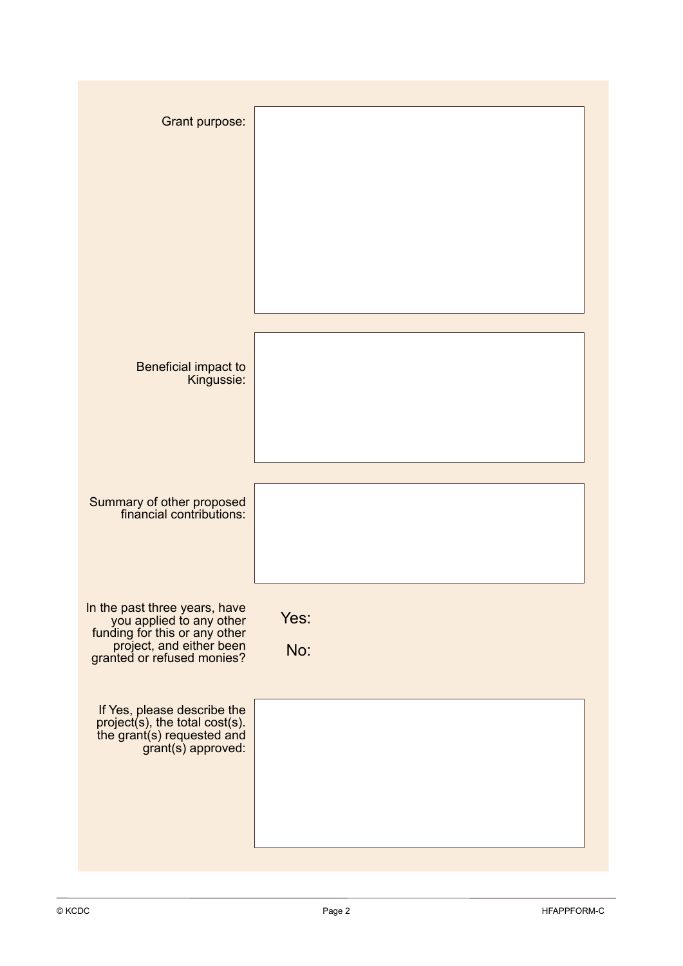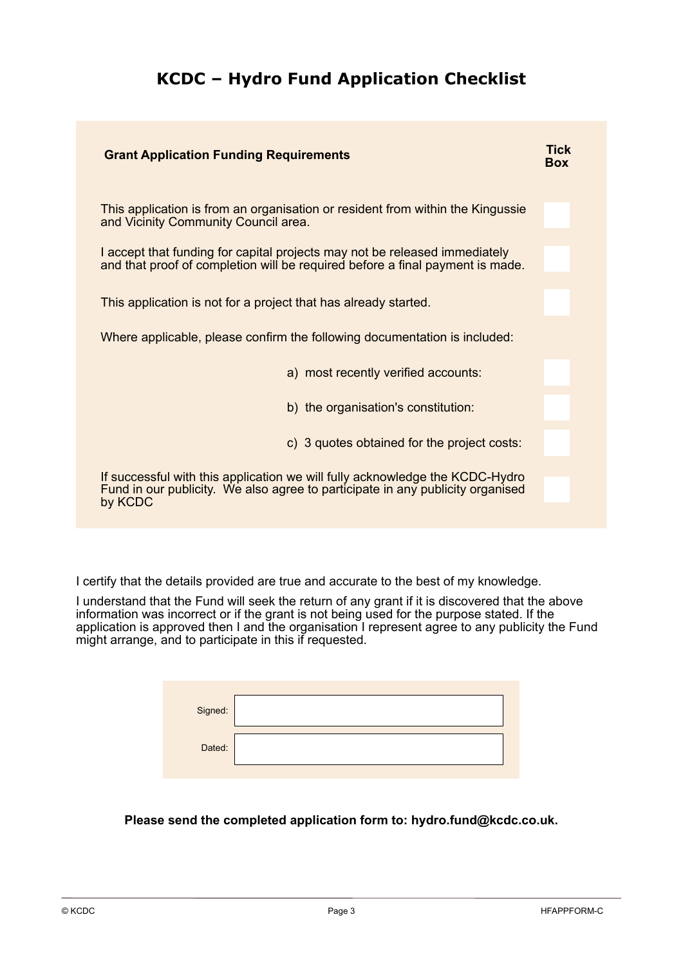## **KCDC – Hydro Fund Application Checklist**

| <b>Grant Application Funding Requirements</b>                                                                                                                             | Tick<br><b>Box</b> |
|---------------------------------------------------------------------------------------------------------------------------------------------------------------------------|--------------------|
| This application is from an organisation or resident from within the Kingussie<br>and Vicinity Community Council area.                                                    |                    |
| I accept that funding for capital projects may not be released immediately<br>and that proof of completion will be required before a final payment is made.               |                    |
| This application is not for a project that has already started.                                                                                                           |                    |
| Where applicable, please confirm the following documentation is included:                                                                                                 |                    |
| a) most recently verified accounts:                                                                                                                                       |                    |
| b) the organisation's constitution:                                                                                                                                       |                    |
| c) 3 quotes obtained for the project costs:                                                                                                                               |                    |
| If successful with this application we will fully acknowledge the KCDC-Hydro<br>Fund in our publicity. We also agree to participate in any publicity organised<br>by KCDC |                    |

I certify that the details provided are true and accurate to the best of my knowledge.

I understand that the Fund will seek the return of any grant if it is discovered that the above information was incorrect or if the grant is not being used for the purpose stated. If the application is approved then I and the organisation I represent agree to any publicity the Fund might arrange, and to participate in this if requested.

| Signed: |  |
|---------|--|
| Dated:  |  |

**Please send the completed application form to: hydro.fund@kcdc.co.uk.**